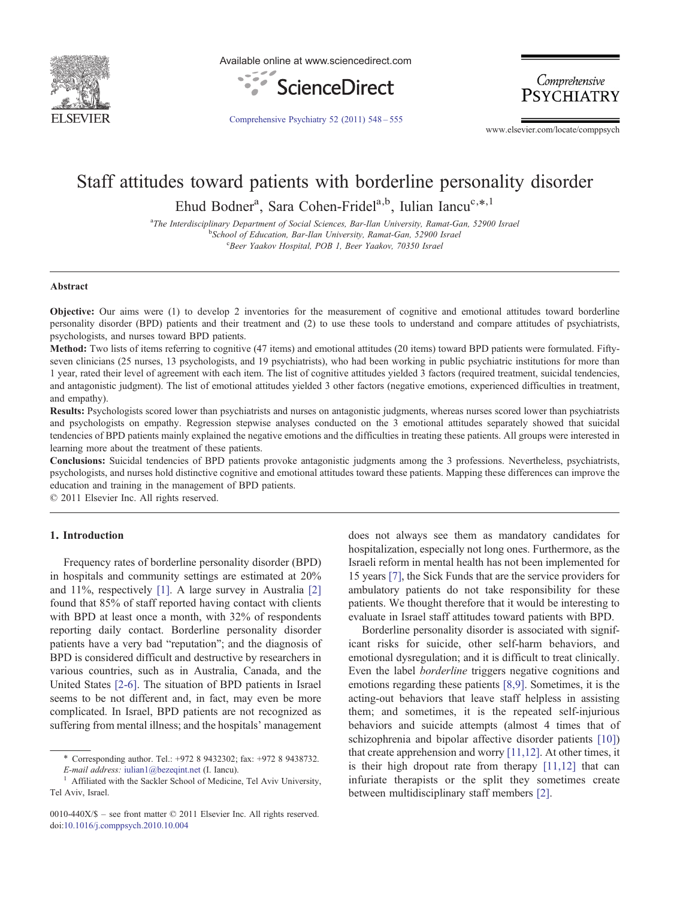

Available online at www.sciencedirect.com



Comprehensive **PSYCHIATRY** 

[Comprehensive Psychiatry 52 \(2011\) 548](http://dx.doi.org/10.1016/j.comppsych.2010.10.004)–555

www.elsevier.com/locate/comppsych

# Staff attitudes toward patients with borderline personality disorder

Ehud Bodner<sup>a</sup>, Sara Cohen-Fridel<sup>a,b</sup>, Iulian Iancu<sup>c,\*,1</sup>

<sup>a</sup>The Interdisciplinary Department of Social Sciences, Bar-Ilan University, Ramat-Gan, 52900 Israel<br><sup>b</sup>School of Education, Bar Ilan University, Bamat Gan, 52000 Israel <sup>b</sup>School of Education, Bar-Ilan University, Ramat-Gan, 52900 Israel c Beer Yaakov Hospital, POB 1, Beer Yaakov, 70350 Israel

### Abstract

Objective: Our aims were (1) to develop 2 inventories for the measurement of cognitive and emotional attitudes toward borderline personality disorder (BPD) patients and their treatment and (2) to use these tools to understand and compare attitudes of psychiatrists, psychologists, and nurses toward BPD patients.

Method: Two lists of items referring to cognitive (47 items) and emotional attitudes (20 items) toward BPD patients were formulated. Fiftyseven clinicians (25 nurses, 13 psychologists, and 19 psychiatrists), who had been working in public psychiatric institutions for more than 1 year, rated their level of agreement with each item. The list of cognitive attitudes yielded 3 factors (required treatment, suicidal tendencies, and antagonistic judgment). The list of emotional attitudes yielded 3 other factors (negative emotions, experienced difficulties in treatment, and empathy).

Results: Psychologists scored lower than psychiatrists and nurses on antagonistic judgments, whereas nurses scored lower than psychiatrists and psychologists on empathy. Regression stepwise analyses conducted on the 3 emotional attitudes separately showed that suicidal tendencies of BPD patients mainly explained the negative emotions and the difficulties in treating these patients. All groups were interested in learning more about the treatment of these patients.

Conclusions: Suicidal tendencies of BPD patients provoke antagonistic judgments among the 3 professions. Nevertheless, psychiatrists, psychologists, and nurses hold distinctive cognitive and emotional attitudes toward these patients. Mapping these differences can improve the education and training in the management of BPD patients.

© 2011 Elsevier Inc. All rights reserved.

# 1. Introduction

Frequency rates of borderline personality disorder (BPD) in hospitals and community settings are estimated at 20% and 11%, respectively [\[1\]](#page-6-0). A large survey in Australia [\[2\]](#page-6-0) found that 85% of staff reported having contact with clients with BPD at least once a month, with 32% of respondents reporting daily contact. Borderline personality disorder patients have a very bad "reputation"; and the diagnosis of BPD is considered difficult and destructive by researchers in various countries, such as in Australia, Canada, and the United States [\[2-6\].](#page-6-0) The situation of BPD patients in Israel seems to be not different and, in fact, may even be more complicated. In Israel, BPD patients are not recognized as suffering from mental illness; and the hospitals' management

does not always see them as mandatory candidates for hospitalization, especially not long ones. Furthermore, as the Israeli reform in mental health has not been implemented for 15 years [\[7\],](#page-6-0) the Sick Funds that are the service providers for ambulatory patients do not take responsibility for these patients. We thought therefore that it would be interesting to evaluate in Israel staff attitudes toward patients with BPD.

Borderline personality disorder is associated with significant risks for suicide, other self-harm behaviors, and emotional dysregulation; and it is difficult to treat clinically. Even the label borderline triggers negative cognitions and emotions regarding these patients [\[8,9\]](#page-7-0). Sometimes, it is the acting-out behaviors that leave staff helpless in assisting them; and sometimes, it is the repeated self-injurious behaviors and suicide attempts (almost 4 times that of schizophrenia and bipolar affective disorder patients [\[10\]\)](#page-7-0) that create apprehension and worry [\[11,12\].](#page-7-0) At other times, it is their high dropout rate from therapy [\[11,12\]](#page-7-0) that can infuriate therapists or the split they sometimes create between multidisciplinary staff members [\[2\]](#page-6-0).

<sup>⁎</sup> Corresponding author. Tel.: +972 8 9432302; fax: +972 8 9438732. E-mail address: [iulian1@bezeqint.net](mailto:iulian1@bezeqint.net) (I. Iancu).<br><sup>1</sup> Affiliated with the Sackler School of Medicine, Tel Aviv University,

Tel Aviv, Israel.

<sup>0010-440</sup>X/\$ – see front matter © 2011 Elsevier Inc. All rights reserved. doi[:10.1016/j.comppsych.2010.10.004](http://dx.doi.org/10.1016/j.comppsych.2010.10.004)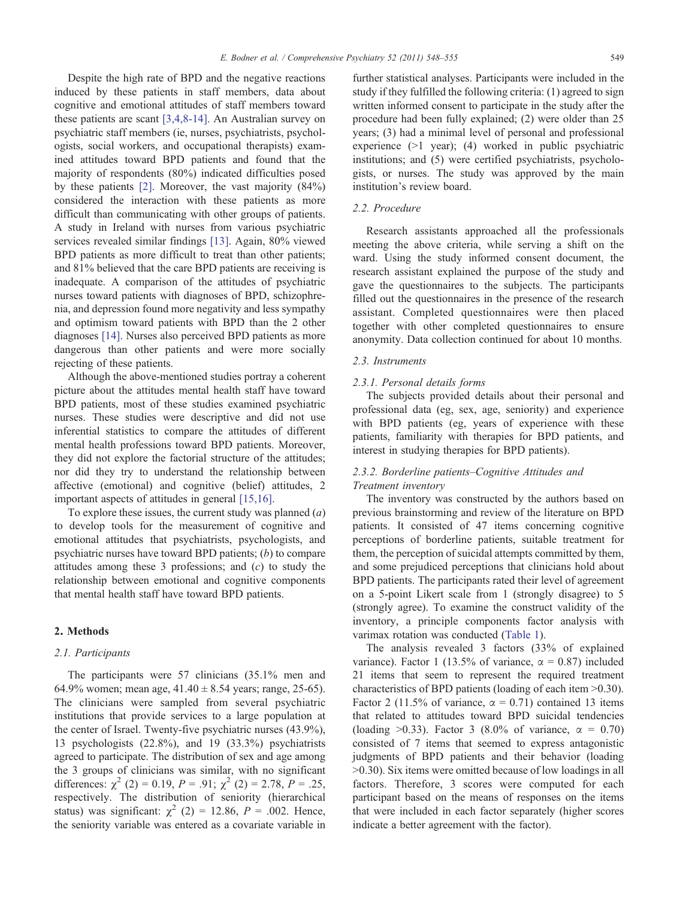Despite the high rate of BPD and the negative reactions induced by these patients in staff members, data about cognitive and emotional attitudes of staff members toward these patients are scant [\[3,4,8-14\].](#page-6-0) An Australian survey on psychiatric staff members (ie, nurses, psychiatrists, psychologists, social workers, and occupational therapists) examined attitudes toward BPD patients and found that the majority of respondents (80%) indicated difficulties posed by these patients [\[2\].](#page-6-0) Moreover, the vast majority (84%) considered the interaction with these patients as more difficult than communicating with other groups of patients. A study in Ireland with nurses from various psychiatric services revealed similar findings [\[13\].](#page-7-0) Again, 80% viewed BPD patients as more difficult to treat than other patients; and 81% believed that the care BPD patients are receiving is inadequate. A comparison of the attitudes of psychiatric nurses toward patients with diagnoses of BPD, schizophrenia, and depression found more negativity and less sympathy and optimism toward patients with BPD than the 2 other diagnoses [\[14\].](#page-7-0) Nurses also perceived BPD patients as more dangerous than other patients and were more socially rejecting of these patients.

Although the above-mentioned studies portray a coherent picture about the attitudes mental health staff have toward BPD patients, most of these studies examined psychiatric nurses. These studies were descriptive and did not use inferential statistics to compare the attitudes of different mental health professions toward BPD patients. Moreover, they did not explore the factorial structure of the attitudes; nor did they try to understand the relationship between affective (emotional) and cognitive (belief) attitudes, 2 important aspects of attitudes in general [\[15,16\].](#page-7-0)

To explore these issues, the current study was planned  $(a)$ to develop tools for the measurement of cognitive and emotional attitudes that psychiatrists, psychologists, and psychiatric nurses have toward BPD patients; (b) to compare attitudes among these  $3$  professions; and  $(c)$  to study the relationship between emotional and cognitive components that mental health staff have toward BPD patients.

## 2. Methods

# 2.1. Participants

The participants were 57 clinicians (35.1% men and 64.9% women; mean age,  $41.40 \pm 8.54$  years; range, 25-65). The clinicians were sampled from several psychiatric institutions that provide services to a large population at the center of Israel. Twenty-five psychiatric nurses (43.9%), 13 psychologists (22.8%), and 19 (33.3%) psychiatrists agreed to participate. The distribution of sex and age among the 3 groups of clinicians was similar, with no significant differences:  $\chi^2$  (2) = 0.19, P = .91;  $\chi^2$  (2) = 2.78, P = .25, respectively. The distribution of seniority (hierarchical status) was significant:  $\chi^2$  (2) = 12.86, P = .002. Hence, the seniority variable was entered as a covariate variable in

further statistical analyses. Participants were included in the study if they fulfilled the following criteria: (1) agreed to sign written informed consent to participate in the study after the procedure had been fully explained; (2) were older than 25 years; (3) had a minimal level of personal and professional experience  $(>1$  year); (4) worked in public psychiatric institutions; and (5) were certified psychiatrists, psychologists, or nurses. The study was approved by the main institution's review board.

# 2.2. Procedure

Research assistants approached all the professionals meeting the above criteria, while serving a shift on the ward. Using the study informed consent document, the research assistant explained the purpose of the study and gave the questionnaires to the subjects. The participants filled out the questionnaires in the presence of the research assistant. Completed questionnaires were then placed together with other completed questionnaires to ensure anonymity. Data collection continued for about 10 months.

### 2.3. Instruments

## 2.3.1. Personal details forms

The subjects provided details about their personal and professional data (eg, sex, age, seniority) and experience with BPD patients (eg, years of experience with these patients, familiarity with therapies for BPD patients, and interest in studying therapies for BPD patients).

# 2.3.2. Borderline patients–Cognitive Attitudes and Treatment inventory

The inventory was constructed by the authors based on previous brainstorming and review of the literature on BPD patients. It consisted of 47 items concerning cognitive perceptions of borderline patients, suitable treatment for them, the perception of suicidal attempts committed by them, and some prejudiced perceptions that clinicians hold about BPD patients. The participants rated their level of agreement on a 5-point Likert scale from 1 (strongly disagree) to 5 (strongly agree). To examine the construct validity of the inventory, a principle components factor analysis with varimax rotation was conducted [\(Table 1\)](#page-2-0).

The analysis revealed 3 factors (33% of explained variance). Factor 1 (13.5% of variance,  $\alpha = 0.87$ ) included 21 items that seem to represent the required treatment characteristics of BPD patients (loading of each item  $>0.30$ ). Factor 2 (11.5% of variance,  $\alpha = 0.71$ ) contained 13 items that related to attitudes toward BPD suicidal tendencies (loading  $>0.33$ ). Factor 3 (8.0% of variance,  $\alpha = 0.70$ ) consisted of 7 items that seemed to express antagonistic judgments of BPD patients and their behavior (loading  $>0.30$ ). Six items were omitted because of low loadings in all factors. Therefore, 3 scores were computed for each participant based on the means of responses on the items that were included in each factor separately (higher scores indicate a better agreement with the factor).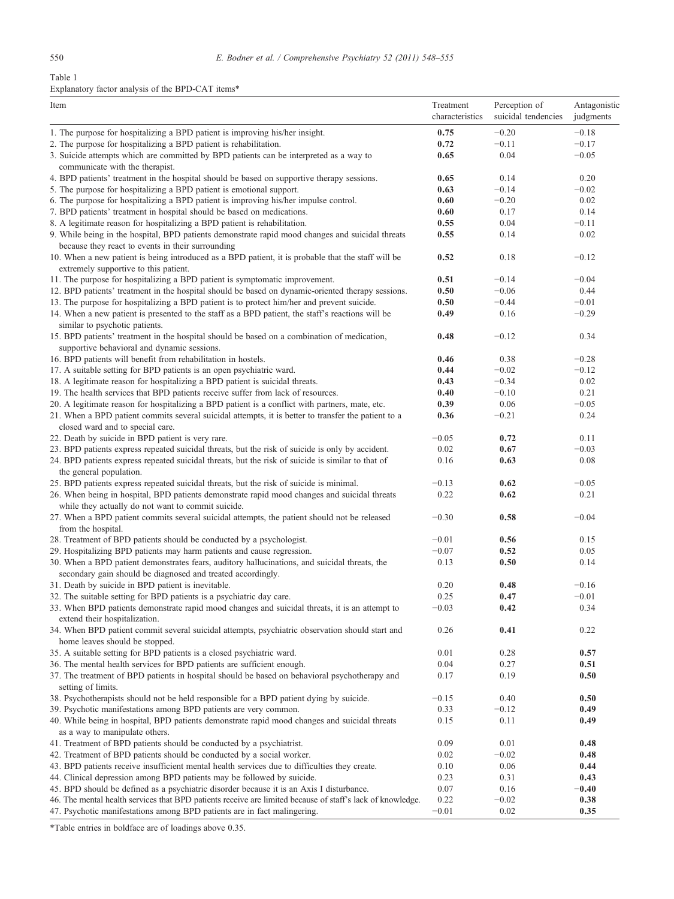<span id="page-2-0"></span>Table 1

# Explanatory factor analysis of the BPD-CAT items\*

| Item                                                                                                                                                                             | Treatment<br>characteristics | Perception of<br>suicidal tendencies | Antagonistic<br>judgments |
|----------------------------------------------------------------------------------------------------------------------------------------------------------------------------------|------------------------------|--------------------------------------|---------------------------|
| 1. The purpose for hospitalizing a BPD patient is improving his/her insight.                                                                                                     | 0.75                         | $-0.20$                              | $-0.18$                   |
| 2. The purpose for hospitalizing a BPD patient is rehabilitation.                                                                                                                | 0.72                         | $-0.11$                              | $-0.17$                   |
| 3. Suicide attempts which are committed by BPD patients can be interpreted as a way to                                                                                           | 0.65                         | 0.04                                 | $-0.05$                   |
| communicate with the therapist.                                                                                                                                                  |                              |                                      |                           |
| 4. BPD patients' treatment in the hospital should be based on supportive therapy sessions.                                                                                       | 0.65                         | 0.14                                 | 0.20                      |
| 5. The purpose for hospitalizing a BPD patient is emotional support.                                                                                                             | 0.63                         | $-0.14$                              | $-0.02$                   |
| 6. The purpose for hospitalizing a BPD patient is improving his/her impulse control.                                                                                             | 0.60                         | $-0.20$                              | 0.02                      |
| 7. BPD patients' treatment in hospital should be based on medications.                                                                                                           | 0.60                         | 0.17                                 | 0.14                      |
| 8. A legitimate reason for hospitalizing a BPD patient is rehabilitation.<br>9. While being in the hospital, BPD patients demonstrate rapid mood changes and suicidal threats    | 0.55<br>0.55                 | 0.04<br>0.14                         | $-0.11$<br>0.02           |
| because they react to events in their surrounding                                                                                                                                |                              |                                      |                           |
| 10. When a new patient is being introduced as a BPD patient, it is probable that the staff will be                                                                               | 0.52                         | 0.18                                 | $-0.12$                   |
| extremely supportive to this patient.                                                                                                                                            |                              | $-0.14$                              | $-0.04$                   |
| 11. The purpose for hospitalizing a BPD patient is symptomatic improvement.<br>12. BPD patients' treatment in the hospital should be based on dynamic-oriented therapy sessions. | 0.51<br>0.50                 | $-0.06$                              | 0.44                      |
| 13. The purpose for hospitalizing a BPD patient is to protect him/her and prevent suicide.                                                                                       | 0.50                         | $-0.44$                              | $-0.01$                   |
| 14. When a new patient is presented to the staff as a BPD patient, the staff's reactions will be                                                                                 | 0.49                         | 0.16                                 | $-0.29$                   |
| similar to psychotic patients.                                                                                                                                                   |                              |                                      |                           |
| 15. BPD patients' treatment in the hospital should be based on a combination of medication,                                                                                      | 0.48                         | $-0.12$                              | 0.34                      |
| supportive behavioral and dynamic sessions.                                                                                                                                      |                              |                                      |                           |
| 16. BPD patients will benefit from rehabilitation in hostels.                                                                                                                    | 0.46                         | 0.38                                 | $-0.28$                   |
| 17. A suitable setting for BPD patients is an open psychiatric ward.                                                                                                             | 0.44                         | $-0.02$                              | $-0.12$                   |
| 18. A legitimate reason for hospitalizing a BPD patient is suicidal threats.                                                                                                     | 0.43                         | $-0.34$                              | 0.02                      |
| 19. The health services that BPD patients receive suffer from lack of resources.                                                                                                 | 0.40                         | $-0.10$                              | 0.21                      |
| 20. A legitimate reason for hospitalizing a BPD patient is a conflict with partners, mate, etc.                                                                                  | 0.39                         | 0.06                                 | $-0.05$                   |
| 21. When a BPD patient commits several suicidal attempts, it is better to transfer the patient to a<br>closed ward and to special care.                                          | 0.36                         | $-0.21$                              | 0.24                      |
| 22. Death by suicide in BPD patient is very rare.                                                                                                                                | $-0.05$                      | 0.72                                 | 0.11                      |
| 23. BPD patients express repeated suicidal threats, but the risk of suicide is only by accident.                                                                                 | 0.02                         | 0.67                                 | $-0.03$                   |
| 24. BPD patients express repeated suicidal threats, but the risk of suicide is similar to that of<br>the general population.                                                     | 0.16                         | 0.63                                 | 0.08                      |
| 25. BPD patients express repeated suicidal threats, but the risk of suicide is minimal.                                                                                          | $-0.13$                      | 0.62                                 | $-0.05$                   |
| 26. When being in hospital, BPD patients demonstrate rapid mood changes and suicidal threats                                                                                     | 0.22                         | 0.62                                 | 0.21                      |
| while they actually do not want to commit suicide.                                                                                                                               |                              |                                      |                           |
| 27. When a BPD patient commits several suicidal attempts, the patient should not be released                                                                                     | $-0.30$                      | 0.58                                 | $-0.04$                   |
| from the hospital.                                                                                                                                                               |                              |                                      |                           |
| 28. Treatment of BPD patients should be conducted by a psychologist.                                                                                                             | $-0.01$                      | 0.56                                 | 0.15                      |
| 29. Hospitalizing BPD patients may harm patients and cause regression.                                                                                                           | $-0.07$                      | 0.52                                 | 0.05                      |
| 30. When a BPD patient demonstrates fears, auditory hallucinations, and suicidal threats, the                                                                                    | 0.13                         | 0.50                                 | 0.14                      |
| secondary gain should be diagnosed and treated accordingly.                                                                                                                      |                              |                                      |                           |
| 31. Death by suicide in BPD patient is inevitable.<br>32. The suitable setting for BPD patients is a psychiatric day care.                                                       | 0.20<br>0.25                 | 0.48<br>0.47                         | $-0.16$<br>$-0.01$        |
| 33. When BPD patients demonstrate rapid mood changes and suicidal threats, it is an attempt to                                                                                   | $-0.03$                      | 0.42                                 | 0.34                      |
| extend their hospitalization.                                                                                                                                                    |                              |                                      |                           |
| 34. When BPD patient commit several suicidal attempts, psychiatric observation should start and                                                                                  | 0.26                         | 0.41                                 | 0.22                      |
| home leaves should be stopped.                                                                                                                                                   |                              |                                      |                           |
| 35. A suitable setting for BPD patients is a closed psychiatric ward.                                                                                                            | 0.01                         | 0.28                                 | 0.57                      |
| 36. The mental health services for BPD patients are sufficient enough.                                                                                                           | 0.04                         | 0.27                                 | 0.51                      |
| 37. The treatment of BPD patients in hospital should be based on behavioral psychotherapy and                                                                                    | 0.17                         | 0.19                                 | 0.50                      |
| setting of limits.                                                                                                                                                               |                              |                                      |                           |
| 38. Psychotherapists should not be held responsible for a BPD patient dying by suicide.                                                                                          | $-0.15$                      | 0.40                                 | 0.50                      |
| 39. Psychotic manifestations among BPD patients are very common.                                                                                                                 | 0.33                         | $-0.12$                              | 0.49                      |
| 40. While being in hospital, BPD patients demonstrate rapid mood changes and suicidal threats<br>as a way to manipulate others.                                                  | 0.15                         | 0.11                                 | 0.49                      |
| 41. Treatment of BPD patients should be conducted by a psychiatrist.                                                                                                             | 0.09                         | 0.01                                 | 0.48                      |
| 42. Treatment of BPD patients should be conducted by a social worker.                                                                                                            | 0.02                         | $-0.02$                              | 0.48                      |
| 43. BPD patients receive insufficient mental health services due to difficulties they create.                                                                                    | 0.10                         | 0.06                                 | 0.44                      |
| 44. Clinical depression among BPD patients may be followed by suicide.                                                                                                           | 0.23                         | 0.31                                 | 0.43                      |
| 45. BPD should be defined as a psychiatric disorder because it is an Axis I disturbance.                                                                                         | 0.07                         | 0.16                                 | $-0.40$                   |
| 46. The mental health services that BPD patients receive are limited because of staff's lack of knowledge.                                                                       | 0.22                         | $-0.02$                              | 0.38                      |
| 47. Psychotic manifestations among BPD patients are in fact malingering.                                                                                                         | $-0.01$                      | 0.02                                 | 0.35                      |

\*Table entries in boldface are of loadings above 0.35.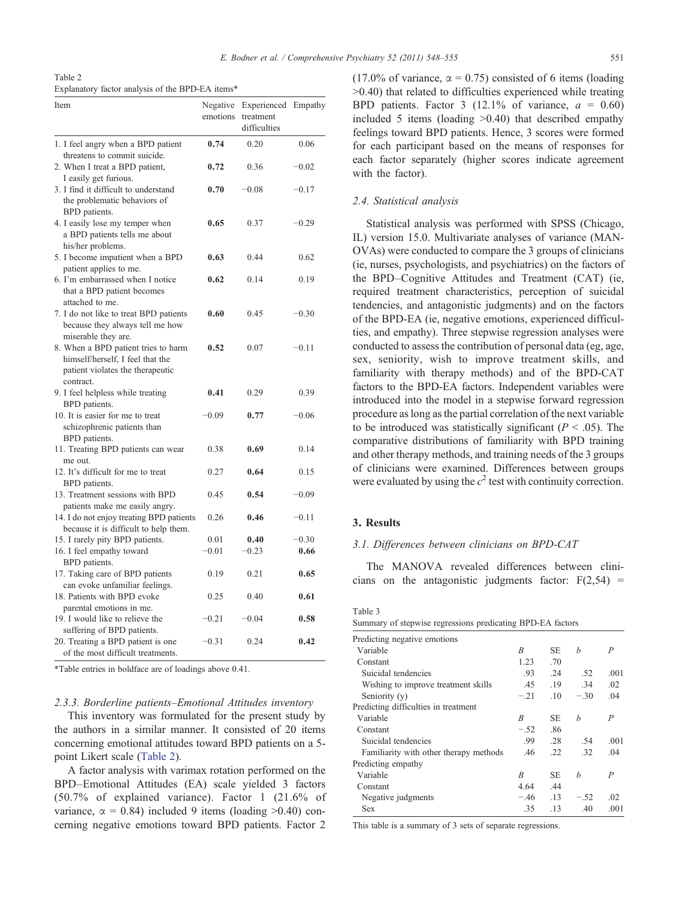<span id="page-3-0"></span>

| Table 2                                          |  |  |  |
|--------------------------------------------------|--|--|--|
| Explanatory factor analysis of the BPD-EA items* |  |  |  |

| Item                                                                                                                     | Negative<br>emotions | Experienced Empathy<br>treatment<br>difficulties |         |
|--------------------------------------------------------------------------------------------------------------------------|----------------------|--------------------------------------------------|---------|
| 1. I feel angry when a BPD patient<br>threatens to commit suicide.                                                       | 0.74                 | 0.20                                             | 0.06    |
| 2. When I treat a BPD patient,<br>I easily get furious.                                                                  | 0.72                 | 0.36                                             | $-0.02$ |
| 3. I find it difficult to understand<br>the problematic behaviors of<br>BPD patients.                                    | 0.70                 | $-0.08$                                          | $-0.17$ |
| 4. I easily lose my temper when<br>a BPD patients tells me about<br>his/her problems.                                    | 0.65                 | 0.37                                             | $-0.29$ |
| 5. I become impatient when a BPD<br>patient applies to me.                                                               | 0.63                 | 0.44                                             | 0.62    |
| 6. I'm embarrassed when I notice<br>that a BPD patient becomes<br>attached to me.                                        | 0.62                 | 0.14                                             | 0.19    |
| 7. I do not like to treat BPD patients<br>because they always tell me how<br>miserable they are.                         | 0.60                 | 0.45                                             | $-0.30$ |
| 8. When a BPD patient tries to harm<br>himself/herself, I feel that the<br>patient violates the therapeutic<br>contract. | 0.52                 | 0.07                                             | $-0.11$ |
| 9. I feel helpless while treating<br>BPD patients.                                                                       | 0.41                 | 0.29                                             | 0.39    |
| 10. It is easier for me to treat<br>schizophrenic patients than<br>BPD patients.                                         | $-0.09$              | 0.77                                             | $-0.06$ |
| 11. Treating BPD patients can wear<br>me out.                                                                            | 0.38                 | 0.69                                             | 0.14    |
| 12. It's difficult for me to treat<br>BPD patients.                                                                      | 0.27                 | 0.64                                             | 0.15    |
| 13. Treatment sessions with BPD<br>patients make me easily angry.                                                        | 0.45                 | 0.54                                             | $-0.09$ |
| 14. I do not enjoy treating BPD patients<br>because it is difficult to help them.                                        | 0.26                 | 0.46                                             | $-0.11$ |
| 15. I rarely pity BPD patients.                                                                                          | 0.01                 | 0.40                                             | $-0.30$ |
| 16. I feel empathy toward<br>BPD patients.                                                                               | $-0.01$              | $-0.23$                                          | 0.66    |
| 17. Taking care of BPD patients<br>can evoke unfamiliar feelings.                                                        | 0.19                 | 0.21                                             | 0.65    |
| 18. Patients with BPD evoke<br>parental emotions in me.                                                                  | 0.25                 | 0.40                                             | 0.61    |
| 19. I would like to relieve the<br>suffering of BPD patients.                                                            | $-0.21$              | $-0.04$                                          | 0.58    |
| 20. Treating a BPD patient is one<br>of the most difficult treatments.                                                   | $-0.31$              | 0.24                                             | 0.42    |

\*Table entries in boldface are of loadings above 0.41.

## 2.3.3. Borderline patients–Emotional Attitudes inventory

This inventory was formulated for the present study by the authors in a similar manner. It consisted of 20 items concerning emotional attitudes toward BPD patients on a 5 point Likert scale (Table 2).

A factor analysis with varimax rotation performed on the BPD–Emotional Attitudes (EA) scale yielded 3 factors (50.7% of explained variance). Factor 1 (21.6% of variance,  $\alpha = 0.84$ ) included 9 items (loading  $>0.40$ ) concerning negative emotions toward BPD patients. Factor 2 (17.0% of variance,  $\alpha = 0.75$ ) consisted of 6 items (loading  $>0.40$ ) that related to difficulties experienced while treating BPD patients. Factor 3 (12.1% of variance,  $a = 0.60$ ) included 5 items (loading  $>0.40$ ) that described empathy feelings toward BPD patients. Hence, 3 scores were formed for each participant based on the means of responses for each factor separately (higher scores indicate agreement with the factor).

# 2.4. Statistical analysis

Statistical analysis was performed with SPSS (Chicago, IL) version 15.0. Multivariate analyses of variance (MAN-OVAs) were conducted to compare the 3 groups of clinicians (ie, nurses, psychologists, and psychiatrics) on the factors of the BPD–Cognitive Attitudes and Treatment (CAT) (ie, required treatment characteristics, perception of suicidal tendencies, and antagonistic judgments) and on the factors of the BPD-EA (ie, negative emotions, experienced difficulties, and empathy). Three stepwise regression analyses were conducted to assess the contribution of personal data (eg, age, sex, seniority, wish to improve treatment skills, and familiarity with therapy methods) and of the BPD-CAT factors to the BPD-EA factors. Independent variables were introduced into the model in a stepwise forward regression procedure as long as the partial correlation of the next variable to be introduced was statistically significant ( $P < .05$ ). The comparative distributions of familiarity with BPD training and other therapy methods, and training needs of the 3 groups of clinicians were examined. Differences between groups were evaluated by using the  $c^2$  test with continuity correction.

# 3. Results

### 3.1. Differences between clinicians on BPD-CAT

The MANOVA revealed differences between clinicians on the antagonistic judgments factor:  $F(2,54) =$ 

| Table 3                                                    |         |         |        |      |
|------------------------------------------------------------|---------|---------|--------|------|
| Summary of stepwise regressions predicating BPD-EA factors |         |         |        |      |
| Predicting negative emotions                               |         |         |        |      |
| Variable                                                   | R       | SE.     | h      | P    |
| Constant                                                   | 1.23    | .70     |        |      |
| Suicidal tendencies                                        | $.93 -$ | .24     | .52    | .001 |
| Wishing to improve treatment skills                        | .45     | .19     | .34    | .02  |
| Seniority (y)                                              | $-.21$  | $.10 -$ | $-.30$ | .04  |
| Predicting difficulties in treatment                       |         |         |        |      |
| Variable                                                   | R       | SE.     | h      | P    |
| Constant                                                   | $-.52$  | .86     |        |      |
| Suicidal tendencies                                        | .99     | .28     | .54    | .001 |
| Familiarity with other therapy methods                     | .46     | .22     | .32    | .04  |
| Predicting empathy                                         |         |         |        |      |
| Variable                                                   | B       | SE.     | h      | P    |
| Constant                                                   | 4.64    | .44     |        |      |
| Negative judgments                                         | $-.46$  | .13     | $-.52$ | .02  |
| <b>Sex</b>                                                 | .35     | .13     | .40    | .001 |

This table is a summary of 3 sets of separate regressions.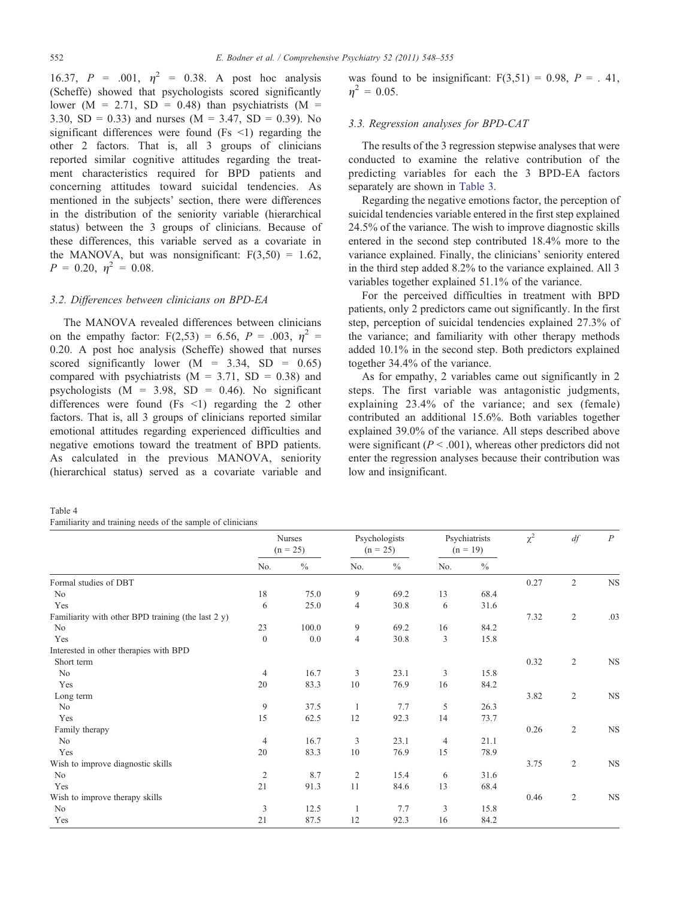<span id="page-4-0"></span>16.37,  $P = .001$ ,  $\eta^2 = 0.38$ . A post hoc analysis (Scheffe) showed that psychologists scored significantly lower ( $M = 2.71$ , SD = 0.48) than psychiatrists ( $M =$ 3.30, SD = 0.33) and nurses ( $M = 3.47$ , SD = 0.39). No significant differences were found (Fs  $\le$ 1) regarding the other 2 factors. That is, all 3 groups of clinicians reported similar cognitive attitudes regarding the treatment characteristics required for BPD patients and concerning attitudes toward suicidal tendencies. As mentioned in the subjects' section, there were differences in the distribution of the seniority variable (hierarchical status) between the 3 groups of clinicians. Because of these differences, this variable served as a covariate in the MANOVA, but was nonsignificant:  $F(3,50) = 1.62$ ,  $P = 0.20, \eta^2 = 0.08.$ 

# 3.2. Differences between clinicians on BPD-EA

The MANOVA revealed differences between clinicians on the empathy factor:  $F(2,53) = 6.56$ ,  $P = .003$ ,  $\eta^2 =$ 0.20. A post hoc analysis (Scheffe) showed that nurses scored significantly lower  $(M = 3.34, SD = 0.65)$ compared with psychiatrists  $(M = 3.71, SD = 0.38)$  and psychologists  $(M = 3.98, SD = 0.46)$ . No significant differences were found  $(Fs \le 1)$  regarding the 2 other factors. That is, all 3 groups of clinicians reported similar emotional attitudes regarding experienced difficulties and negative emotions toward the treatment of BPD patients. As calculated in the previous MANOVA, seniority (hierarchical status) served as a covariate variable and

| Table 4                                                    |  |
|------------------------------------------------------------|--|
| Familiarity and training needs of the sample of clinicians |  |

was found to be insignificant:  $F(3,51) = 0.98$ ,  $P = .41$ ,  $\eta^2 = 0.05$ .

# 3.3. Regression analyses for BPD-CAT

The results of the 3 regression stepwise analyses that were conducted to examine the relative contribution of the predicting variables for each the 3 BPD-EA factors separately are shown in [Table 3](#page-3-0).

Regarding the negative emotions factor, the perception of suicidal tendencies variable entered in the first step explained 24.5% of the variance. The wish to improve diagnostic skills entered in the second step contributed 18.4% more to the variance explained. Finally, the clinicians' seniority entered in the third step added 8.2% to the variance explained. All 3 variables together explained 51.1% of the variance.

For the perceived difficulties in treatment with BPD patients, only 2 predictors came out significantly. In the first step, perception of suicidal tendencies explained 27.3% of the variance; and familiarity with other therapy methods added 10.1% in the second step. Both predictors explained together 34.4% of the variance.

As for empathy, 2 variables came out significantly in 2 steps. The first variable was antagonistic judgments, explaining 23.4% of the variance; and sex (female) contributed an additional 15.6%. Both variables together explained 39.0% of the variance. All steps described above were significant ( $P < .001$ ), whereas other predictors did not enter the regression analyses because their contribution was low and insignificant.

|                                                       | <b>Nurses</b><br>$(n = 25)$ |               | Psychologists<br>$(n = 25)$ |      | Psychiatrists<br>$(n = 19)$ |      | $\chi^2$ | df             | $\boldsymbol{P}$ |
|-------------------------------------------------------|-----------------------------|---------------|-----------------------------|------|-----------------------------|------|----------|----------------|------------------|
|                                                       | No.                         | $\frac{0}{0}$ | No.                         | $\%$ | No.                         | $\%$ |          |                |                  |
| Formal studies of DBT                                 |                             |               |                             |      |                             |      | 0.27     | $\overline{2}$ | $_{\rm NS}$      |
| No                                                    | 18                          | 75.0          | 9                           | 69.2 | 13                          | 68.4 |          |                |                  |
| Yes                                                   | 6                           | 25.0          | $\overline{4}$              | 30.8 | 6                           | 31.6 |          |                |                  |
| Familiarity with other BPD training (the last $2 y$ ) |                             |               |                             |      |                             |      | 7.32     | $\sqrt{2}$     | .03              |
| N <sub>0</sub>                                        | 23                          | 100.0         | 9                           | 69.2 | 16                          | 84.2 |          |                |                  |
| Yes                                                   | $\boldsymbol{0}$            | 0.0           | $\overline{4}$              | 30.8 | 3                           | 15.8 |          |                |                  |
| Interested in other therapies with BPD                |                             |               |                             |      |                             |      |          |                |                  |
| Short term                                            |                             |               |                             |      |                             |      | 0.32     | $\overline{2}$ | $_{\rm NS}$      |
| N <sub>o</sub>                                        | $\overline{4}$              | 16.7          | 3                           | 23.1 | $\mathfrak{Z}$              | 15.8 |          |                |                  |
| Yes                                                   | 20                          | 83.3          | 10                          | 76.9 | 16                          | 84.2 |          |                |                  |
| Long term                                             |                             |               |                             |      |                             |      | 3.82     | $\sqrt{2}$     | $_{\rm NS}$      |
| N <sub>0</sub>                                        | 9                           | 37.5          | 1                           | 7.7  | 5                           | 26.3 |          |                |                  |
| Yes                                                   | 15                          | 62.5          | 12                          | 92.3 | 14                          | 73.7 |          |                |                  |
| Family therapy                                        |                             |               |                             |      |                             |      | 0.26     | $\sqrt{2}$     | $_{\rm NS}$      |
| N <sub>0</sub>                                        | 4                           | 16.7          | $\mathfrak{Z}$              | 23.1 | $\overline{4}$              | 21.1 |          |                |                  |
| Yes                                                   | 20                          | 83.3          | 10                          | 76.9 | 15                          | 78.9 |          |                |                  |
| Wish to improve diagnostic skills                     |                             |               |                             |      |                             |      | 3.75     | $\mathfrak{2}$ | $_{\rm NS}$      |
| N <sub>0</sub>                                        | $\mathfrak{2}$              | 8.7           | $\overline{2}$              | 15.4 | 6                           | 31.6 |          |                |                  |
| Yes                                                   | 21                          | 91.3          | 11                          | 84.6 | 13                          | 68.4 |          |                |                  |
| Wish to improve therapy skills                        |                             |               |                             |      |                             |      | 0.46     | $\sqrt{2}$     | $_{\rm NS}$      |
| No                                                    | 3                           | 12.5          | 1                           | 7.7  | 3                           | 15.8 |          |                |                  |
| Yes                                                   | 21                          | 87.5          | 12                          | 92.3 | 16                          | 84.2 |          |                |                  |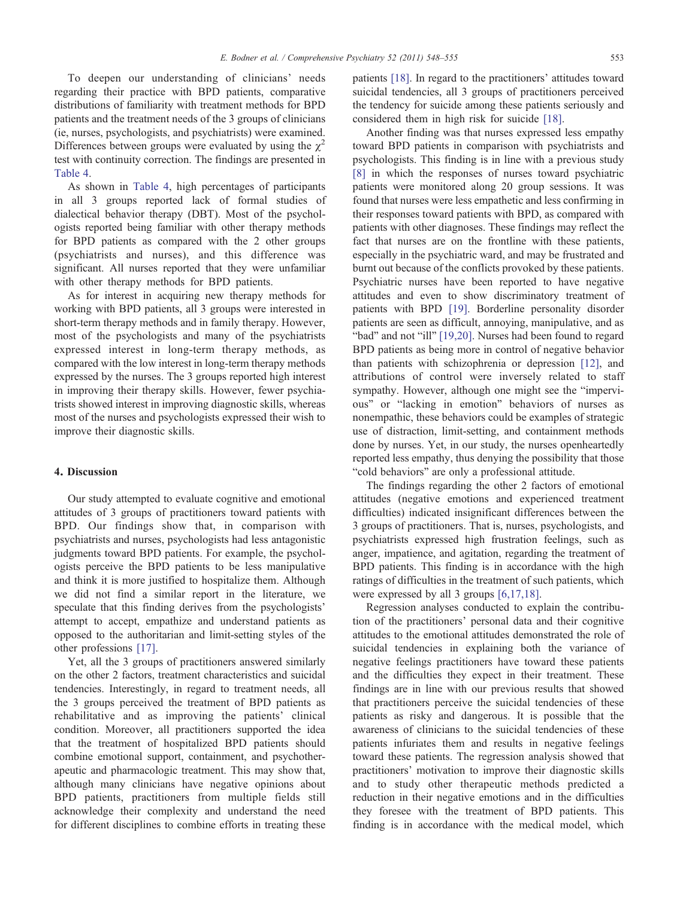To deepen our understanding of clinicians' needs regarding their practice with BPD patients, comparative distributions of familiarity with treatment methods for BPD patients and the treatment needs of the 3 groups of clinicians (ie, nurses, psychologists, and psychiatrists) were examined. Differences between groups were evaluated by using the  $\chi^2$ test with continuity correction. The findings are presented in [Table 4](#page-4-0).

As shown in [Table 4,](#page-4-0) high percentages of participants in all 3 groups reported lack of formal studies of dialectical behavior therapy (DBT). Most of the psychologists reported being familiar with other therapy methods for BPD patients as compared with the 2 other groups (psychiatrists and nurses), and this difference was significant. All nurses reported that they were unfamiliar with other therapy methods for BPD patients.

As for interest in acquiring new therapy methods for working with BPD patients, all 3 groups were interested in short-term therapy methods and in family therapy. However, most of the psychologists and many of the psychiatrists expressed interest in long-term therapy methods, as compared with the low interest in long-term therapy methods expressed by the nurses. The 3 groups reported high interest in improving their therapy skills. However, fewer psychiatrists showed interest in improving diagnostic skills, whereas most of the nurses and psychologists expressed their wish to improve their diagnostic skills.

### 4. Discussion

Our study attempted to evaluate cognitive and emotional attitudes of 3 groups of practitioners toward patients with BPD. Our findings show that, in comparison with psychiatrists and nurses, psychologists had less antagonistic judgments toward BPD patients. For example, the psychologists perceive the BPD patients to be less manipulative and think it is more justified to hospitalize them. Although we did not find a similar report in the literature, we speculate that this finding derives from the psychologists' attempt to accept, empathize and understand patients as opposed to the authoritarian and limit-setting styles of the other professions [\[17\].](#page-7-0)

Yet, all the 3 groups of practitioners answered similarly on the other 2 factors, treatment characteristics and suicidal tendencies. Interestingly, in regard to treatment needs, all the 3 groups perceived the treatment of BPD patients as rehabilitative and as improving the patients' clinical condition. Moreover, all practitioners supported the idea that the treatment of hospitalized BPD patients should combine emotional support, containment, and psychotherapeutic and pharmacologic treatment. This may show that, although many clinicians have negative opinions about BPD patients, practitioners from multiple fields still acknowledge their complexity and understand the need for different disciplines to combine efforts in treating these

patients [\[18\].](#page-7-0) In regard to the practitioners' attitudes toward suicidal tendencies, all 3 groups of practitioners perceived the tendency for suicide among these patients seriously and considered them in high risk for suicide [\[18\]](#page-7-0).

Another finding was that nurses expressed less empathy toward BPD patients in comparison with psychiatrists and psychologists. This finding is in line with a previous study [\[8\]](#page-7-0) in which the responses of nurses toward psychiatric patients were monitored along 20 group sessions. It was found that nurses were less empathetic and less confirming in their responses toward patients with BPD, as compared with patients with other diagnoses. These findings may reflect the fact that nurses are on the frontline with these patients, especially in the psychiatric ward, and may be frustrated and burnt out because of the conflicts provoked by these patients. Psychiatric nurses have been reported to have negative attitudes and even to show discriminatory treatment of patients with BPD [\[19\].](#page-7-0) Borderline personality disorder patients are seen as difficult, annoying, manipulative, and as "bad" and not "ill" [\[19,20\]](#page-7-0). Nurses had been found to regard BPD patients as being more in control of negative behavior than patients with schizophrenia or depression [\[12\]](#page-7-0), and attributions of control were inversely related to staff sympathy. However, although one might see the "impervious" or "lacking in emotion" behaviors of nurses as nonempathic, these behaviors could be examples of strategic use of distraction, limit-setting, and containment methods done by nurses. Yet, in our study, the nurses openheartedly reported less empathy, thus denying the possibility that those "cold behaviors" are only a professional attitude.

The findings regarding the other 2 factors of emotional attitudes (negative emotions and experienced treatment difficulties) indicated insignificant differences between the 3 groups of practitioners. That is, nurses, psychologists, and psychiatrists expressed high frustration feelings, such as anger, impatience, and agitation, regarding the treatment of BPD patients. This finding is in accordance with the high ratings of difficulties in the treatment of such patients, which were expressed by all 3 groups [\[6,17,18\]](#page-6-0).

Regression analyses conducted to explain the contribution of the practitioners' personal data and their cognitive attitudes to the emotional attitudes demonstrated the role of suicidal tendencies in explaining both the variance of negative feelings practitioners have toward these patients and the difficulties they expect in their treatment. These findings are in line with our previous results that showed that practitioners perceive the suicidal tendencies of these patients as risky and dangerous. It is possible that the awareness of clinicians to the suicidal tendencies of these patients infuriates them and results in negative feelings toward these patients. The regression analysis showed that practitioners' motivation to improve their diagnostic skills and to study other therapeutic methods predicted a reduction in their negative emotions and in the difficulties they foresee with the treatment of BPD patients. This finding is in accordance with the medical model, which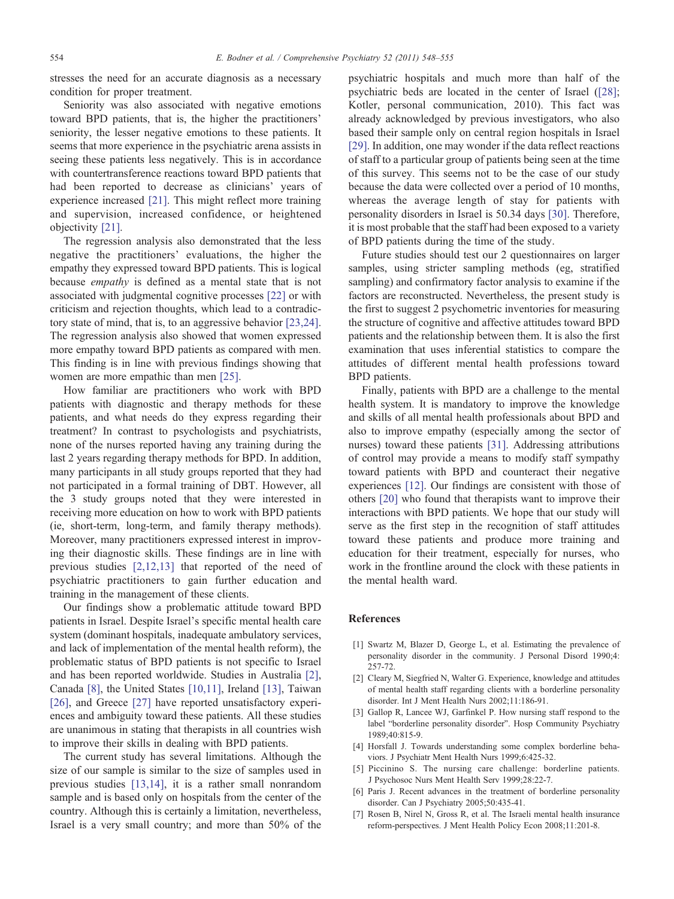<span id="page-6-0"></span>stresses the need for an accurate diagnosis as a necessary condition for proper treatment.

Seniority was also associated with negative emotions toward BPD patients, that is, the higher the practitioners' seniority, the lesser negative emotions to these patients. It seems that more experience in the psychiatric arena assists in seeing these patients less negatively. This is in accordance with countertransference reactions toward BPD patients that had been reported to decrease as clinicians' years of experience increased [\[21\]](#page-7-0). This might reflect more training and supervision, increased confidence, or heightened objectivity [\[21\].](#page-7-0)

The regression analysis also demonstrated that the less negative the practitioners' evaluations, the higher the empathy they expressed toward BPD patients. This is logical because empathy is defined as a mental state that is not associated with judgmental cognitive processes [\[22\]](#page-7-0) or with criticism and rejection thoughts, which lead to a contradictory state of mind, that is, to an aggressive behavior [\[23,24\].](#page-7-0) The regression analysis also showed that women expressed more empathy toward BPD patients as compared with men. This finding is in line with previous findings showing that women are more empathic than men [\[25\]](#page-7-0).

How familiar are practitioners who work with BPD patients with diagnostic and therapy methods for these patients, and what needs do they express regarding their treatment? In contrast to psychologists and psychiatrists, none of the nurses reported having any training during the last 2 years regarding therapy methods for BPD. In addition, many participants in all study groups reported that they had not participated in a formal training of DBT. However, all the 3 study groups noted that they were interested in receiving more education on how to work with BPD patients (ie, short-term, long-term, and family therapy methods). Moreover, many practitioners expressed interest in improving their diagnostic skills. These findings are in line with previous studies [2,12,13] that reported of the need of psychiatric practitioners to gain further education and training in the management of these clients.

Our findings show a problematic attitude toward BPD patients in Israel. Despite Israel's specific mental health care system (dominant hospitals, inadequate ambulatory services, and lack of implementation of the mental health reform), the problematic status of BPD patients is not specific to Israel and has been reported worldwide. Studies in Australia [2], Canada [\[8\]](#page-7-0), the United States [\[10,11\],](#page-7-0) Ireland [\[13\],](#page-7-0) Taiwan [\[26\]](#page-7-0), and Greece [\[27\]](#page-7-0) have reported unsatisfactory experiences and ambiguity toward these patients. All these studies are unanimous in stating that therapists in all countries wish to improve their skills in dealing with BPD patients.

The current study has several limitations. Although the size of our sample is similar to the size of samples used in previous studies [\[13,14\],](#page-7-0) it is a rather small nonrandom sample and is based only on hospitals from the center of the country. Although this is certainly a limitation, nevertheless, Israel is a very small country; and more than 50% of the

psychiatric hospitals and much more than half of the psychiatric beds are located in the center of Israel [\(\[28\]](#page-7-0); Kotler, personal communication, 2010). This fact was already acknowledged by previous investigators, who also based their sample only on central region hospitals in Israel [\[29\]](#page-7-0). In addition, one may wonder if the data reflect reactions of staff to a particular group of patients being seen at the time of this survey. This seems not to be the case of our study because the data were collected over a period of 10 months, whereas the average length of stay for patients with personality disorders in Israel is 50.34 days [\[30\].](#page-7-0) Therefore, it is most probable that the staff had been exposed to a variety of BPD patients during the time of the study.

Future studies should test our 2 questionnaires on larger samples, using stricter sampling methods (eg, stratified sampling) and confirmatory factor analysis to examine if the factors are reconstructed. Nevertheless, the present study is the first to suggest 2 psychometric inventories for measuring the structure of cognitive and affective attitudes toward BPD patients and the relationship between them. It is also the first examination that uses inferential statistics to compare the attitudes of different mental health professions toward BPD patients.

Finally, patients with BPD are a challenge to the mental health system. It is mandatory to improve the knowledge and skills of all mental health professionals about BPD and also to improve empathy (especially among the sector of nurses) toward these patients [\[31\].](#page-7-0) Addressing attributions of control may provide a means to modify staff sympathy toward patients with BPD and counteract their negative experiences [\[12\].](#page-7-0) Our findings are consistent with those of others [\[20\]](#page-7-0) who found that therapists want to improve their interactions with BPD patients. We hope that our study will serve as the first step in the recognition of staff attitudes toward these patients and produce more training and education for their treatment, especially for nurses, who work in the frontline around the clock with these patients in the mental health ward.

#### References

- [1] Swartz M, Blazer D, George L, et al. Estimating the prevalence of personality disorder in the community. J Personal Disord 1990;4: 257-72.
- [2] Cleary M, Siegfried N, Walter G. Experience, knowledge and attitudes of mental health staff regarding clients with a borderline personality disorder. Int J Ment Health Nurs 2002;11:186-91.
- [3] Gallop R, Lancee WJ, Garfinkel P. How nursing staff respond to the label "borderline personality disorder". Hosp Community Psychiatry 1989;40:815-9.
- [4] Horsfall J. Towards understanding some complex borderline behaviors. J Psychiatr Ment Health Nurs 1999;6:425-32.
- [5] Piccinino S. The nursing care challenge: borderline patients. J Psychosoc Nurs Ment Health Serv 1999;28:22-7.
- [6] Paris J. Recent advances in the treatment of borderline personality disorder. Can J Psychiatry 2005;50:435-41.
- Rosen B, Nirel N, Gross R, et al. The Israeli mental health insurance reform-perspectives. J Ment Health Policy Econ 2008;11:201-8.